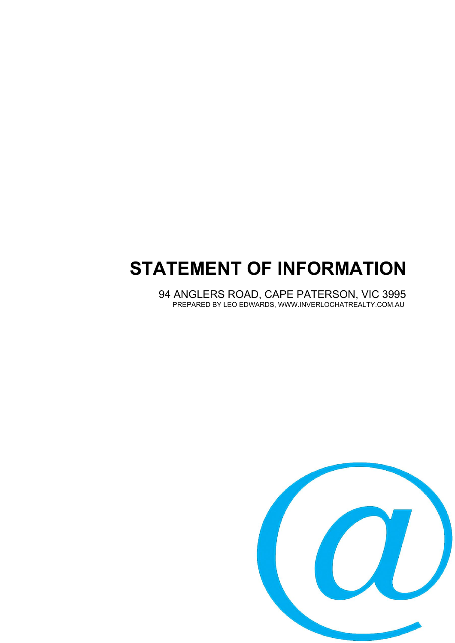# **STATEMENT OF INFORMATION**

94 ANGLERS ROAD, CAPE PATERSON, VIC 3995 PREPARED BY LEO EDWARDS, WWW.INVERLOCHATREALTY.COM.AU